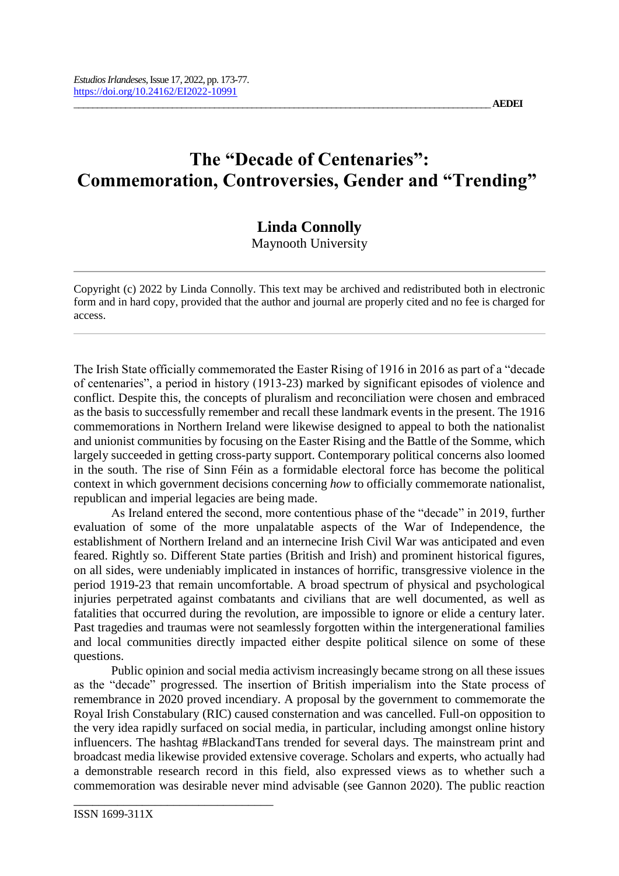## **The "Decade of Centenaries": Commemoration, Controversies, Gender and "Trending"**

## **Linda Connolly**

Maynooth University

Copyright (c) 2022 by Linda Connolly. This text may be archived and redistributed both in electronic form and in hard copy, provided that the author and journal are properly cited and no fee is charged for access.

The Irish State officially commemorated the Easter Rising of 1916 in 2016 as part of a "decade of centenaries", a period in history (1913-23) marked by significant episodes of violence and conflict. Despite this, the concepts of pluralism and reconciliation were chosen and embraced as the basis to successfully remember and recall these landmark events in the present. The 1916 commemorations in Northern Ireland were likewise designed to appeal to both the nationalist and unionist communities by focusing on the Easter Rising and the Battle of the Somme, which largely succeeded in getting cross-party support. Contemporary political concerns also loomed in the south. The rise of Sinn Féin as a formidable electoral force has become the political context in which government decisions concerning *how* to officially commemorate nationalist, republican and imperial legacies are being made.

As Ireland entered the second, more contentious phase of the "decade" in 2019, further evaluation of some of the more unpalatable aspects of the War of Independence, the establishment of Northern Ireland and an internecine Irish Civil War was anticipated and even feared. Rightly so. Different State parties (British and Irish) and prominent historical figures, on all sides, were undeniably implicated in instances of horrific, transgressive violence in the period 1919-23 that remain uncomfortable. A broad spectrum of physical and psychological injuries perpetrated against combatants and civilians that are well documented, as well as fatalities that occurred during the revolution, are impossible to ignore or elide a century later. Past tragedies and traumas were not seamlessly forgotten within the intergenerational families and local communities directly impacted either despite political silence on some of these questions.

Public opinion and social media activism increasingly became strong on all these issues as the "decade" progressed. The insertion of British imperialism into the State process of remembrance in 2020 proved incendiary. A proposal by the government to commemorate the Royal Irish Constabulary (RIC) caused consternation and was cancelled. Full-on opposition to the very idea rapidly surfaced on social media, in particular, including amongst online history influencers. The hashtag #BlackandTans trended for several days. The mainstream print and broadcast media likewise provided extensive coverage. Scholars and experts, who actually had a demonstrable research record in this field, also expressed views as to whether such a commemoration was desirable never mind advisable (see Gannon 2020). The public reaction

\_\_\_\_\_\_\_\_\_\_\_\_\_\_\_\_\_\_\_\_\_\_\_\_\_\_\_\_\_\_\_\_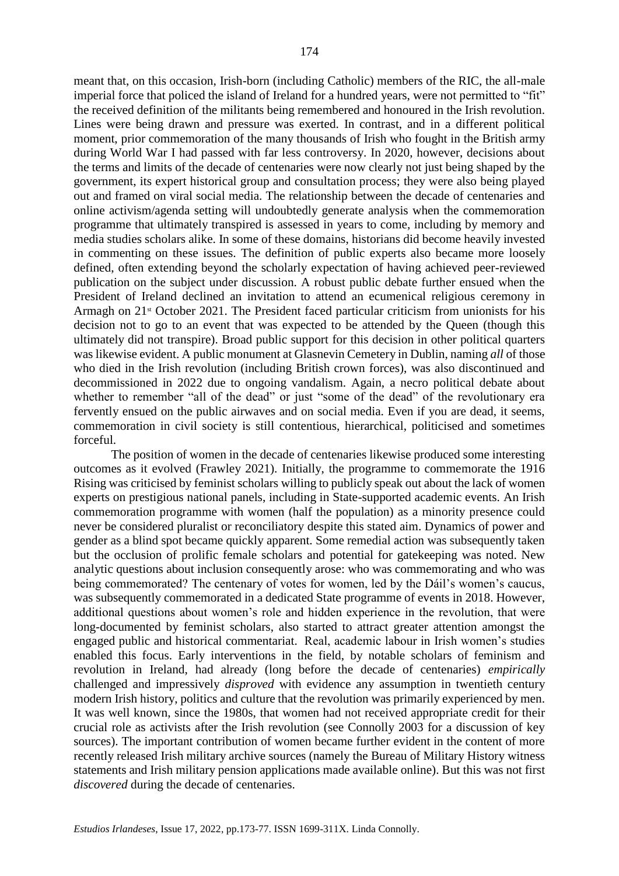meant that, on this occasion, Irish-born (including Catholic) members of the RIC, the all-male imperial force that policed the island of Ireland for a hundred years, were not permitted to "fit" the received definition of the militants being remembered and honoured in the Irish revolution. Lines were being drawn and pressure was exerted. In contrast, and in a different political moment, prior commemoration of the many thousands of Irish who fought in the British army during World War I had passed with far less controversy. In 2020, however, decisions about the terms and limits of the decade of centenaries were now clearly not just being shaped by the government, its expert historical group and consultation process; they were also being played out and framed on viral social media. The relationship between the decade of centenaries and online activism/agenda setting will undoubtedly generate analysis when the commemoration programme that ultimately transpired is assessed in years to come, including by memory and media studies scholars alike. In some of these domains, historians did become heavily invested in commenting on these issues. The definition of public experts also became more loosely defined, often extending beyond the scholarly expectation of having achieved peer-reviewed publication on the subject under discussion. A robust public debate further ensued when the President of Ireland declined an invitation to attend an ecumenical religious ceremony in Armagh on 21<sup>st</sup> October 2021. The President faced particular criticism from unionists for his decision not to go to an event that was expected to be attended by the Queen (though this ultimately did not transpire). Broad public support for this decision in other political quarters was likewise evident. A public monument at Glasnevin Cemetery in Dublin, naming *all* of those who died in the Irish revolution (including British crown forces), was also discontinued and decommissioned in 2022 due to ongoing vandalism. Again, a necro political debate about whether to remember "all of the dead" or just "some of the dead" of the revolutionary era fervently ensued on the public airwaves and on social media. Even if you are dead, it seems, commemoration in civil society is still contentious, hierarchical, politicised and sometimes forceful.

The position of women in the decade of centenaries likewise produced some interesting outcomes as it evolved (Frawley 2021). Initially, the programme to commemorate the 1916 Rising was criticised by feminist scholars willing to publicly speak out about the lack of women experts on prestigious national panels, including in State-supported academic events. An Irish commemoration programme with women (half the population) as a minority presence could never be considered pluralist or reconciliatory despite this stated aim. Dynamics of power and gender as a blind spot became quickly apparent. Some remedial action was subsequently taken but the occlusion of prolific female scholars and potential for gatekeeping was noted. New analytic questions about inclusion consequently arose: who was commemorating and who was being commemorated? The centenary of votes for women, led by the Dáil's women's caucus, was subsequently commemorated in a dedicated State programme of events in 2018. However, additional questions about women's role and hidden experience in the revolution, that were long-documented by feminist scholars, also started to attract greater attention amongst the engaged public and historical commentariat. Real, academic labour in Irish women's studies enabled this focus. Early interventions in the field, by notable scholars of feminism and revolution in Ireland, had already (long before the decade of centenaries) *empirically*  challenged and impressively *disproved* with evidence any assumption in twentieth century modern Irish history, politics and culture that the revolution was primarily experienced by men. It was well known, since the 1980s, that women had not received appropriate credit for their crucial role as activists after the Irish revolution (see Connolly 2003 for a discussion of key sources). The important contribution of women became further evident in the content of more recently released Irish military archive sources (namely the Bureau of Military History witness statements and Irish military pension applications made available online). But this was not first *discovered* during the decade of centenaries.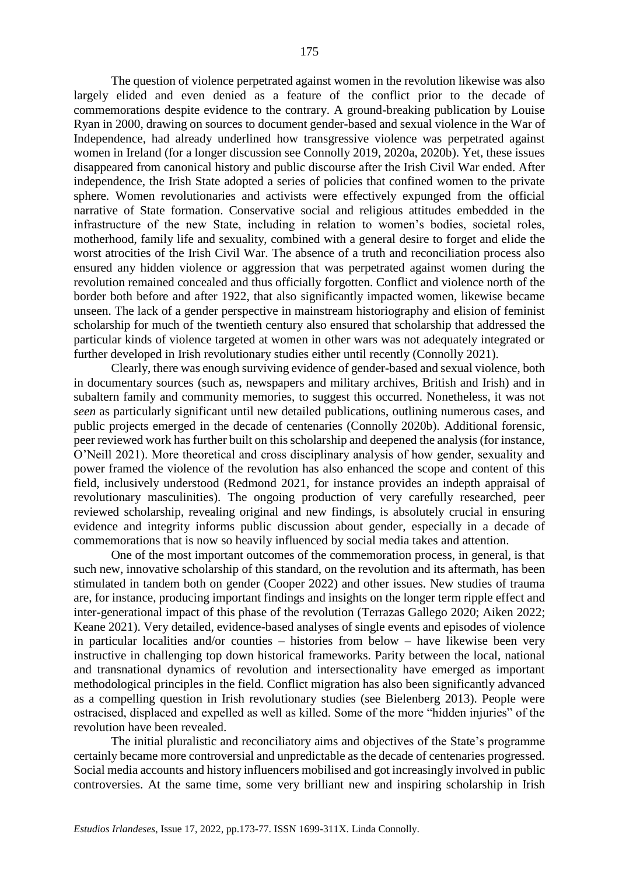The question of violence perpetrated against women in the revolution likewise was also largely elided and even denied as a feature of the conflict prior to the decade of commemorations despite evidence to the contrary. A ground-breaking publication by Louise Ryan in 2000, drawing on sources to document gender-based and sexual violence in the War of Independence, had already underlined how transgressive violence was perpetrated against women in Ireland (for a longer discussion see Connolly 2019, 2020a, 2020b). Yet, these issues disappeared from canonical history and public discourse after the Irish Civil War ended. After independence, the Irish State adopted a series of policies that confined women to the private sphere. Women revolutionaries and activists were effectively expunged from the official narrative of State formation. Conservative social and religious attitudes embedded in the infrastructure of the new State, including in relation to women's bodies, societal roles, motherhood, family life and sexuality, combined with a general desire to forget and elide the worst atrocities of the Irish Civil War. The absence of a truth and reconciliation process also ensured any hidden violence or aggression that was perpetrated against women during the revolution remained concealed and thus officially forgotten. Conflict and violence north of the border both before and after 1922, that also significantly impacted women, likewise became unseen. The lack of a gender perspective in mainstream historiography and elision of feminist scholarship for much of the twentieth century also ensured that scholarship that addressed the particular kinds of violence targeted at women in other wars was not adequately integrated or further developed in Irish revolutionary studies either until recently (Connolly 2021).

Clearly, there was enough surviving evidence of gender-based and sexual violence, both in documentary sources (such as, newspapers and military archives, British and Irish) and in subaltern family and community memories, to suggest this occurred. Nonetheless, it was not *seen* as particularly significant until new detailed publications, outlining numerous cases, and public projects emerged in the decade of centenaries (Connolly 2020b). Additional forensic, peer reviewed work has further built on this scholarship and deepened the analysis (for instance, O'Neill 2021). More theoretical and cross disciplinary analysis of how gender, sexuality and power framed the violence of the revolution has also enhanced the scope and content of this field, inclusively understood (Redmond 2021, for instance provides an indepth appraisal of revolutionary masculinities). The ongoing production of very carefully researched, peer reviewed scholarship, revealing original and new findings, is absolutely crucial in ensuring evidence and integrity informs public discussion about gender, especially in a decade of commemorations that is now so heavily influenced by social media takes and attention.

One of the most important outcomes of the commemoration process, in general, is that such new, innovative scholarship of this standard, on the revolution and its aftermath, has been stimulated in tandem both on gender (Cooper 2022) and other issues. New studies of trauma are, for instance, producing important findings and insights on the longer term ripple effect and inter-generational impact of this phase of the revolution (Terrazas Gallego 2020; Aiken 2022; Keane 2021). Very detailed, evidence-based analyses of single events and episodes of violence in particular localities and/or counties – histories from below – have likewise been very instructive in challenging top down historical frameworks. Parity between the local, national and transnational dynamics of revolution and intersectionality have emerged as important methodological principles in the field. Conflict migration has also been significantly advanced as a compelling question in Irish revolutionary studies (see Bielenberg 2013). People were ostracised, displaced and expelled as well as killed. Some of the more "hidden injuries" of the revolution have been revealed.

The initial pluralistic and reconciliatory aims and objectives of the State's programme certainly became more controversial and unpredictable as the decade of centenaries progressed. Social media accounts and history influencers mobilised and got increasingly involved in public controversies. At the same time, some very brilliant new and inspiring scholarship in Irish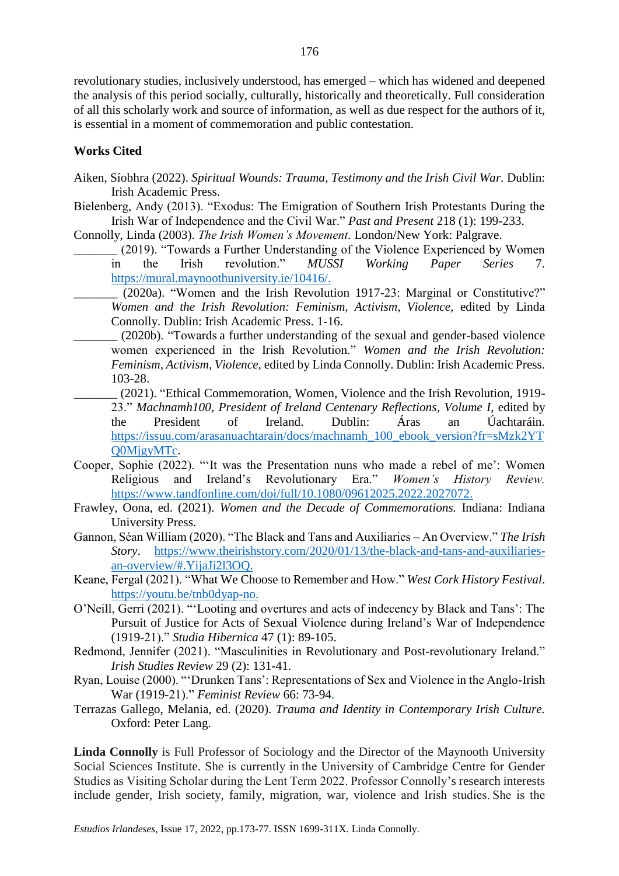revolutionary studies, inclusively understood, has emerged – which has widened and deepened the analysis of this period socially, culturally, historically and theoretically. Full consideration of all this scholarly work and source of information, as well as due respect for the authors of it, is essential in a moment of commemoration and public contestation.

## **Works Cited**

- Aiken, Síobhra (2022). *Spiritual Wounds: Trauma, Testimony and the Irish Civil War.* Dublin: Irish Academic Press.
- Bielenberg, Andy (2013). "Exodus: The Emigration of Southern Irish Protestants During the Irish War of Independence and the Civil War." *Past and Present* 218 (1): 199-233.

Connolly, Linda (2003). *The Irish Women's Movement.* London/New York: Palgrave.

- \_\_\_\_\_\_\_ (2019). "Towards a Further Understanding of the Violence Experienced by Women in the Irish revolution." *MUSSI Working Paper Series* 7. [https://mural.maynoothuniversity.ie/10416/.](https://mural.maynoothuniversity.ie/10416/)
	- (2020a). "Women and the Irish Revolution 1917-23: Marginal or Constitutive?" *Women and the Irish Revolution: Feminism, Activism, Violence,* edited by Linda Connolly. Dublin: Irish Academic Press. 1-16.
- \_\_\_\_\_\_\_ (2020b). "Towards a further understanding of the sexual and gender-based violence women experienced in the Irish Revolution." *Women and the Irish Revolution: Feminism, Activism, Violence,* edited by Linda Connolly. Dublin: Irish Academic Press. 103-28.
	- \_\_\_\_\_\_\_ (2021). "Ethical Commemoration, Women, Violence and the Irish Revolution, 1919- 23." *Machnamh100, President of Ireland Centenary Reflections*, *Volume I*, edited by the President of Ireland. Dublin: Áras an Úachtaráin. [https://issuu.com/arasanuachtarain/docs/machnamh\\_100\\_ebook\\_version?fr=sMzk2YT](https://issuu.com/arasanuachtarain/docs/machnamh_100_ebook_version?fr=sMzk2YTQ0MjgyMTc) [Q0MjgyMTc.](https://issuu.com/arasanuachtarain/docs/machnamh_100_ebook_version?fr=sMzk2YTQ0MjgyMTc)
- Cooper, Sophie (2022). "'It was the Presentation nuns who made a rebel of me': Women Religious and Ireland's Revolutionary Era." *Women's History Review.*  [https://www.tandfonline.com/doi/full/10.1080/09612025.2022.2027072.](https://www.tandfonline.com/doi/full/10.1080/09612025.2022.2027072)
- Frawley, Oona, ed. (2021). *Women and the Decade of Commemorations.* Indiana: Indiana University Press.
- Gannon, Séan William (2020). "The Black and Tans and Auxiliaries An Overview." *The Irish Story*. [https://www.theirishstory.com/2020/01/13/the-black-and-tans-and-auxiliaries](https://www.theirishstory.com/2020/01/13/the-black-and-tans-and-auxiliaries-an-overview/#.YijaJi2l3OQ)[an-overview/#.YijaJi2l3OQ.](https://www.theirishstory.com/2020/01/13/the-black-and-tans-and-auxiliaries-an-overview/#.YijaJi2l3OQ)
- Keane, Fergal (2021). "What We Choose to Remember and How." *West Cork History Festival*. [https://youtu.be/tnb0dyap-no.](https://youtu.be/tnb0dyap-no)
- O'Neill, Gerri (2021). "'Looting and overtures and acts of indecency by Black and Tans': The Pursuit of Justice for Acts of Sexual Violence during Ireland's War of Independence (1919-21)." *Studia Hibernica* 47 (1): 89-105.
- Redmond, Jennifer (2021). "Masculinities in Revolutionary and Post-revolutionary Ireland." *Irish Studies Review* 29 (2): 131-41.
- Ryan, Louise (2000). "'Drunken Tans': Representations of Sex and Violence in the Anglo-Irish War (1919-21)." *Feminist Review* 66: 73-94.
- Terrazas Gallego, Melania, ed. (2020). *Trauma and Identity in Contemporary Irish Culture.*  Oxford: Peter Lang.

**Linda Connolly** is Full Professor of Sociology and the Director of the Maynooth University Social Sciences Institute. She is currently in the University of Cambridge Centre for Gender Studies as Visiting Scholar during the Lent Term 2022. Professor Connolly's research interests include gender, Irish society, family, migration, war, violence and Irish studies. She is the